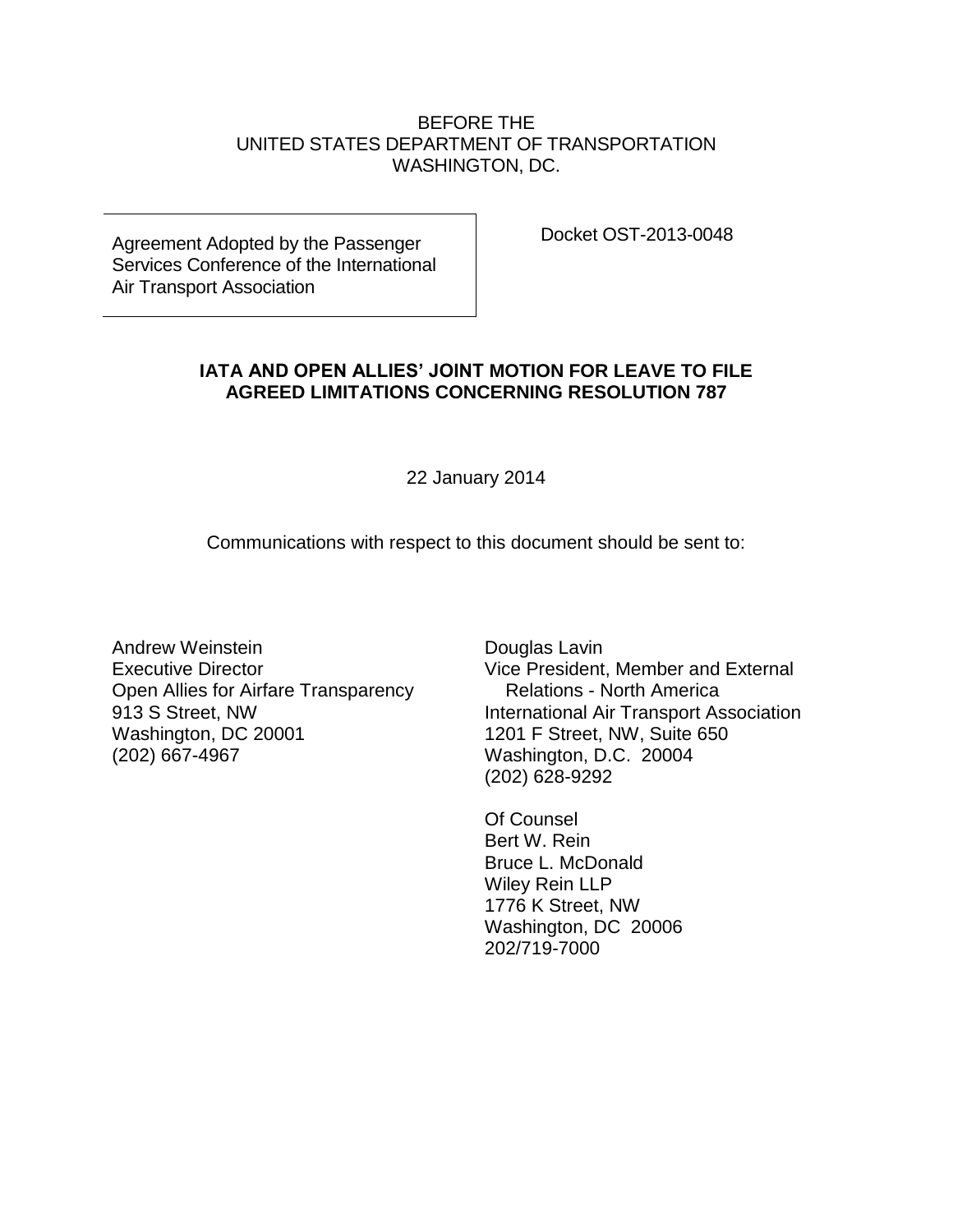## BEFORE THE UNITED STATES DEPARTMENT OF TRANSPORTATION WASHINGTON, DC.

Agreement Adopted by the Passenger Services Conference of the International Air Transport Association

Docket OST-2013-0048

## **IATA AND OPEN ALLIES' JOINT MOTION FOR LEAVE TO FILE AGREED LIMITATIONS CONCERNING RESOLUTION 787**

22 January 2014

Communications with respect to this document should be sent to:

Andrew Weinstein Executive Director Open Allies for Airfare Transparency 913 S Street, NW Washington, DC 20001 (202) 667-4967

Douglas Lavin Vice President, Member and External Relations - North America International Air Transport Association 1201 F Street, NW, Suite 650 Washington, D.C. 20004 (202) 628-9292

Of Counsel Bert W. Rein Bruce L. McDonald Wiley Rein LLP 1776 K Street, NW Washington, DC 20006 202/719-7000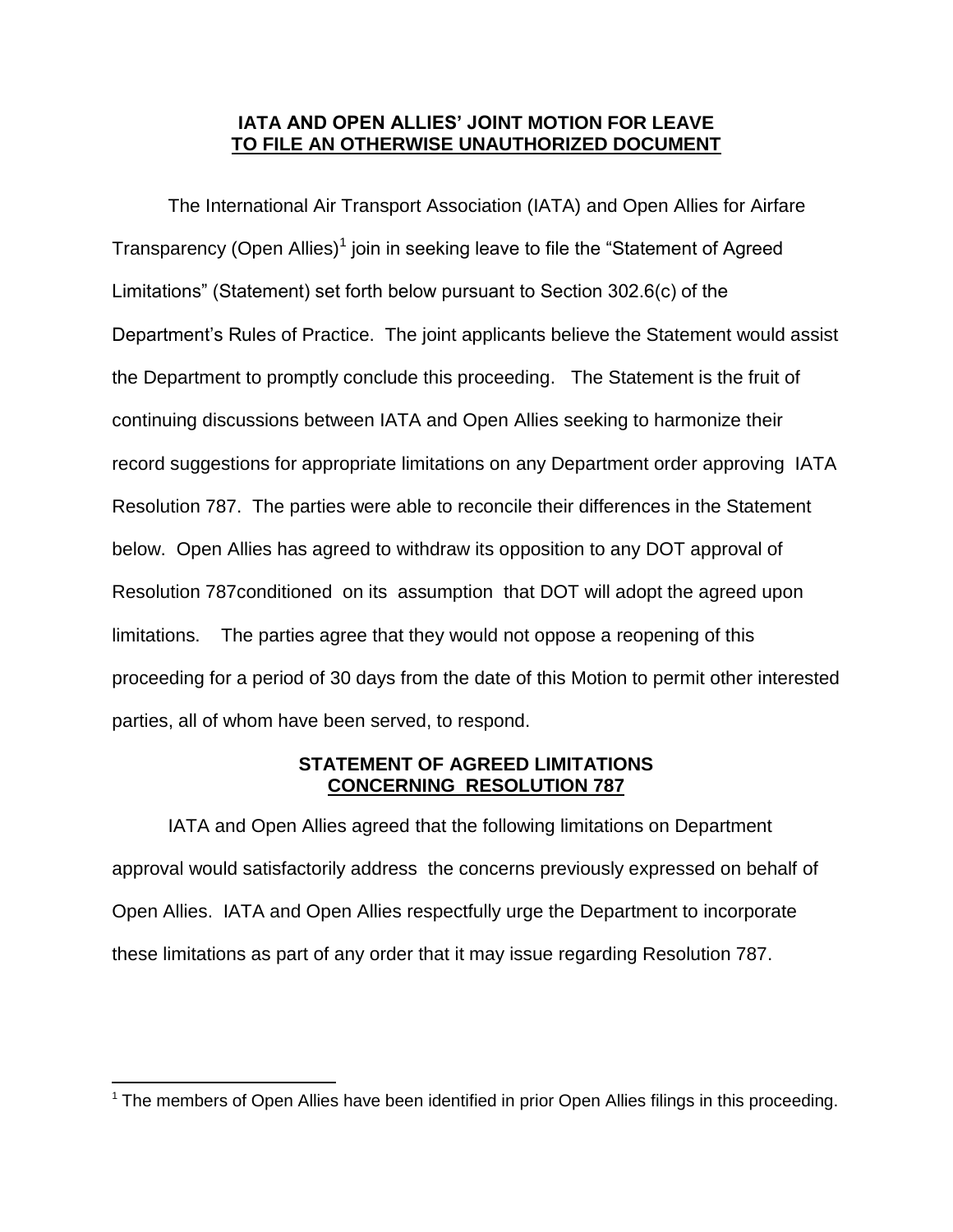## **IATA AND OPEN ALLIES' JOINT MOTION FOR LEAVE TO FILE AN OTHERWISE UNAUTHORIZED DOCUMENT**

The International Air Transport Association (IATA) and Open Allies for Airfare Transparency (Open Allies)<sup>1</sup> join in seeking leave to file the "Statement of Agreed Limitations" (Statement) set forth below pursuant to Section 302.6(c) of the Department's Rules of Practice. The joint applicants believe the Statement would assist the Department to promptly conclude this proceeding. The Statement is the fruit of continuing discussions between IATA and Open Allies seeking to harmonize their record suggestions for appropriate limitations on any Department order approving IATA Resolution 787. The parties were able to reconcile their differences in the Statement below. Open Allies has agreed to withdraw its opposition to any DOT approval of Resolution 787conditioned on its assumption that DOT will adopt the agreed upon limitations. The parties agree that they would not oppose a reopening of this proceeding for a period of 30 days from the date of this Motion to permit other interested parties, all of whom have been served, to respond.

## **STATEMENT OF AGREED LIMITATIONS CONCERNING RESOLUTION 787**

IATA and Open Allies agreed that the following limitations on Department approval would satisfactorily address the concerns previously expressed on behalf of Open Allies. IATA and Open Allies respectfully urge the Department to incorporate these limitations as part of any order that it may issue regarding Resolution 787.

 $\overline{a}$ 

 $1$  The members of Open Allies have been identified in prior Open Allies filings in this proceeding.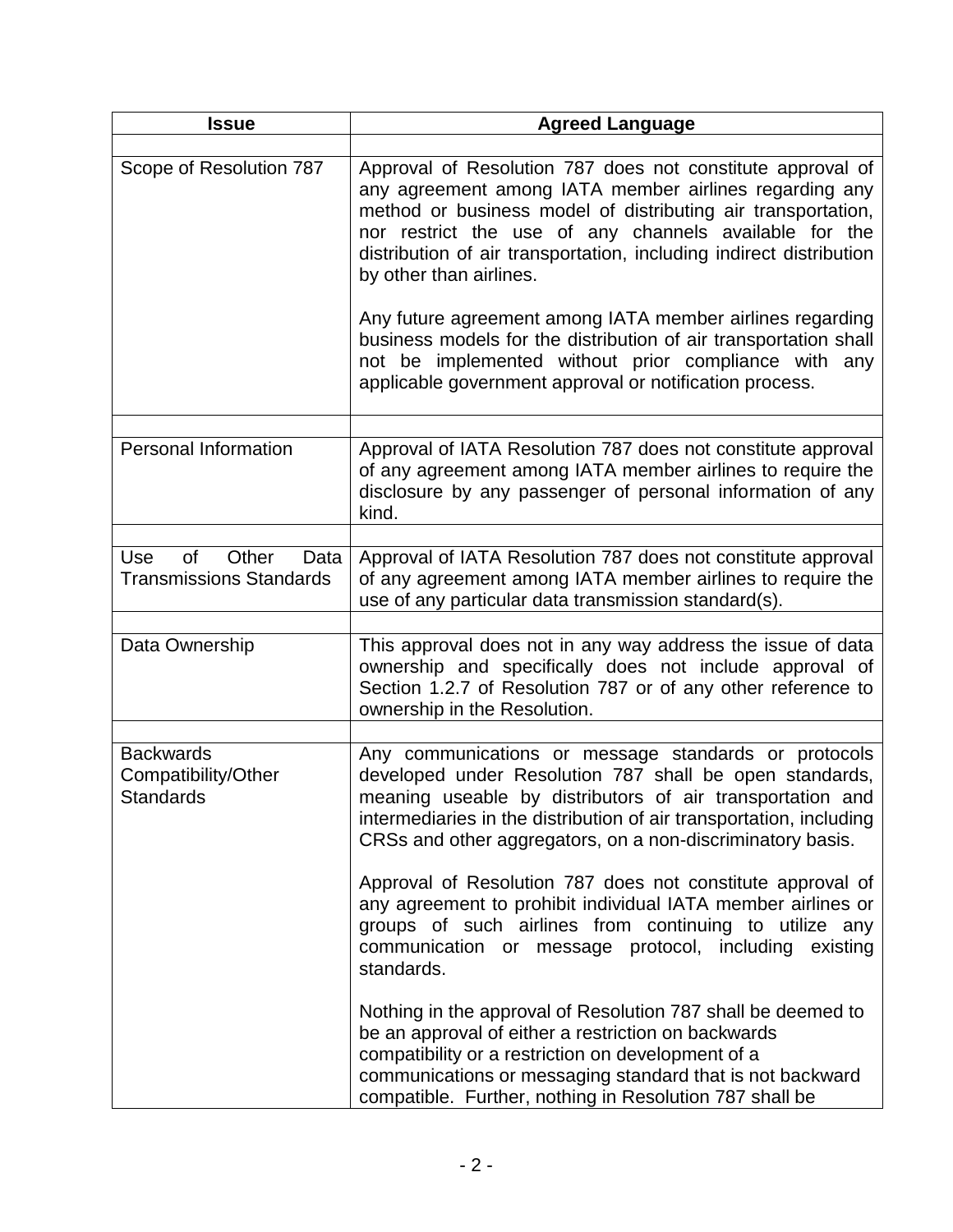| <b>Issue</b>                                                | <b>Agreed Language</b>                                                                                                                                                                                                                                                                                                                                                                                                                                                                                                                                                                               |
|-------------------------------------------------------------|------------------------------------------------------------------------------------------------------------------------------------------------------------------------------------------------------------------------------------------------------------------------------------------------------------------------------------------------------------------------------------------------------------------------------------------------------------------------------------------------------------------------------------------------------------------------------------------------------|
| Scope of Resolution 787                                     | Approval of Resolution 787 does not constitute approval of<br>any agreement among IATA member airlines regarding any<br>method or business model of distributing air transportation,<br>nor restrict the use of any channels available for the<br>distribution of air transportation, including indirect distribution<br>by other than airlines.<br>Any future agreement among IATA member airlines regarding<br>business models for the distribution of air transportation shall<br>not be implemented without prior compliance with any<br>applicable government approval or notification process. |
|                                                             |                                                                                                                                                                                                                                                                                                                                                                                                                                                                                                                                                                                                      |
| <b>Personal Information</b>                                 | Approval of IATA Resolution 787 does not constitute approval<br>of any agreement among IATA member airlines to require the<br>disclosure by any passenger of personal information of any<br>kind.                                                                                                                                                                                                                                                                                                                                                                                                    |
| <b>Use</b><br>of<br>Other<br>Data                           | Approval of IATA Resolution 787 does not constitute approval                                                                                                                                                                                                                                                                                                                                                                                                                                                                                                                                         |
| <b>Transmissions Standards</b>                              | of any agreement among IATA member airlines to require the<br>use of any particular data transmission standard(s).                                                                                                                                                                                                                                                                                                                                                                                                                                                                                   |
| Data Ownership                                              | This approval does not in any way address the issue of data<br>ownership and specifically does not include approval of<br>Section 1.2.7 of Resolution 787 or of any other reference to<br>ownership in the Resolution.                                                                                                                                                                                                                                                                                                                                                                               |
|                                                             |                                                                                                                                                                                                                                                                                                                                                                                                                                                                                                                                                                                                      |
| <b>Backwards</b><br>Compatibility/Other<br><b>Standards</b> | Any communications or message standards or protocols<br>developed under Resolution 787 shall be open standards,<br>meaning useable by distributors of air transportation and<br>intermediaries in the distribution of air transportation, including<br>CRSs and other aggregators, on a non-discriminatory basis.                                                                                                                                                                                                                                                                                    |
|                                                             | Approval of Resolution 787 does not constitute approval of<br>any agreement to prohibit individual IATA member airlines or<br>groups of such airlines from continuing to utilize any<br>communication or message protocol, including existing<br>standards.                                                                                                                                                                                                                                                                                                                                          |
|                                                             | Nothing in the approval of Resolution 787 shall be deemed to<br>be an approval of either a restriction on backwards<br>compatibility or a restriction on development of a<br>communications or messaging standard that is not backward<br>compatible. Further, nothing in Resolution 787 shall be                                                                                                                                                                                                                                                                                                    |